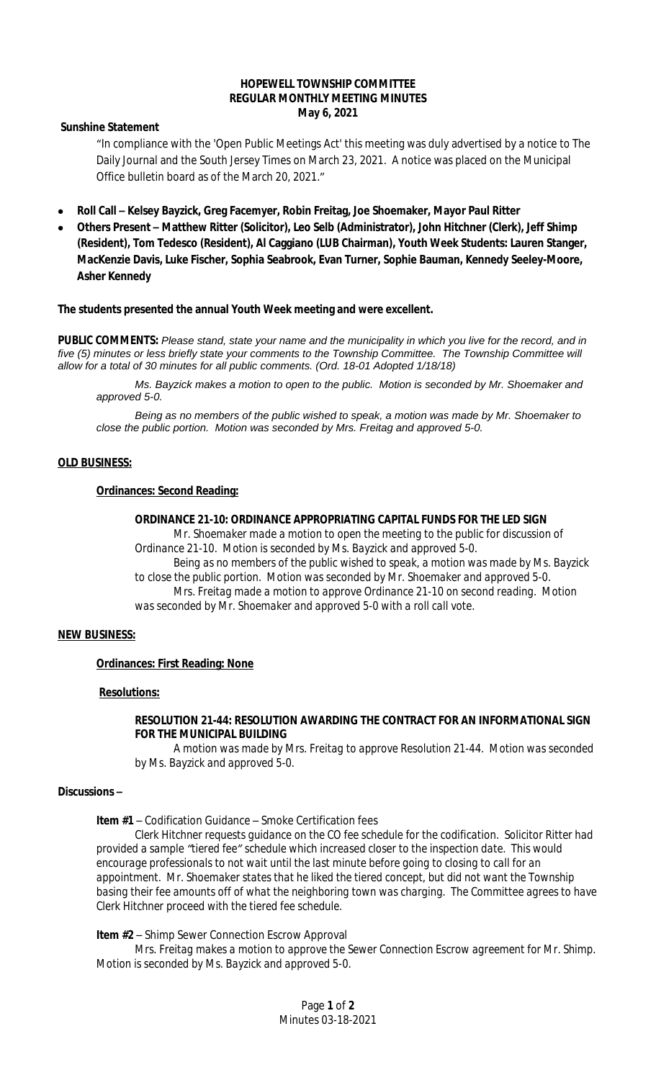#### **HOPEWELL TOWNSHIP COMMITTEE REGULAR MONTHLY MEETING MINUTES May 6, 2021**

**Sunshine Statement**

"In compliance with the 'Open Public Meetings Act' this meeting was duly advertised by a notice to The Daily Journal and the South Jersey Times on March 23, 2021. A notice was placed on the Municipal Office bulletin board as of the March 20, 2021."

- **Roll Call – Kelsey Bayzick, Greg Facemyer, Robin Freitag, Joe Shoemaker, Mayor Paul Ritter**
- **Others Present – Matthew Ritter (Solicitor), Leo Selb (Administrator), John Hitchner (Clerk), Jeff Shimp (Resident), Tom Tedesco (Resident), Al Caggiano (LUB Chairman), Youth Week Students: Lauren Stanger, MacKenzie Davis, Luke Fischer, Sophia Seabrook, Evan Turner, Sophie Bauman, Kennedy Seeley-Moore, Asher Kennedy**

**The students presented the annual Youth Week meeting and were excellent.**

**PUBLIC COMMENTS:** *Please stand, state your name and the municipality in which you live for the record, and in five (5) minutes or less briefly state your comments to the Township Committee. The Township Committee will allow for a total of 30 minutes for all public comments. (Ord. 18-01 Adopted 1/18/18)*

*Ms. Bayzick makes a motion to open to the public. Motion is seconded by Mr. Shoemaker and approved 5-0.*

*Being as no members of the public wished to speak, a motion was made by Mr. Shoemaker to close the public portion. Motion was seconded by Mrs. Freitag and approved 5-0.*

### **OLD BUSINESS:**

# **Ordinances: Second Reading:**

#### **ORDINANCE 21-10: ORDINANCE APPROPRIATING CAPITAL FUNDS FOR THE LED SIGN**

*Mr. Shoemaker made a motion to open the meeting to the public for discussion of Ordinance 21-10. Motion is seconded by Ms. Bayzick and approved 5-0. Being as no members of the public wished to speak, a motion was made by Ms. Bayzick to close the public portion. Motion was seconded by Mr. Shoemaker and approved 5-0. Mrs. Freitag made a motion to approve Ordinance 21-10 on second reading. Motion was seconded by Mr. Shoemaker and approved 5-0 with a roll call vote.*

### **NEW BUSINESS:**

### **Ordinances: First Reading: None**

#### **Resolutions:**

### **RESOLUTION 21-44: RESOLUTION AWARDING THE CONTRACT FOR AN INFORMATIONAL SIGN FOR THE MUNICIPAL BUILDING**

*A motion was made by Mrs. Freitag to approve Resolution 21-44. Motion was seconded by Ms. Bayzick and approved 5-0.*

#### **Discussions –**

**Item #1** – Codification Guidance – Smoke Certification fees

*Clerk Hitchner requests guidance on the CO fee schedule for the codification. Solicitor Ritter had provided a sample "tiered fee" schedule which increased closer to the inspection date. This would encourage professionals to not wait until the last minute before going to closing to call for an appointment. Mr. Shoemaker states that he liked the tiered concept, but did not want the Township basing their fee amounts off of what the neighboring town was charging. The Committee agrees to have Clerk Hitchner proceed with the tiered fee schedule.*

**Item #2** – Shimp Sewer Connection Escrow Approval

*Mrs. Freitag makes a motion to approve the Sewer Connection Escrow agreement for Mr. Shimp. Motion is seconded by Ms. Bayzick and approved 5-0.*

> Page **1** of **2** Minutes 03-18-2021